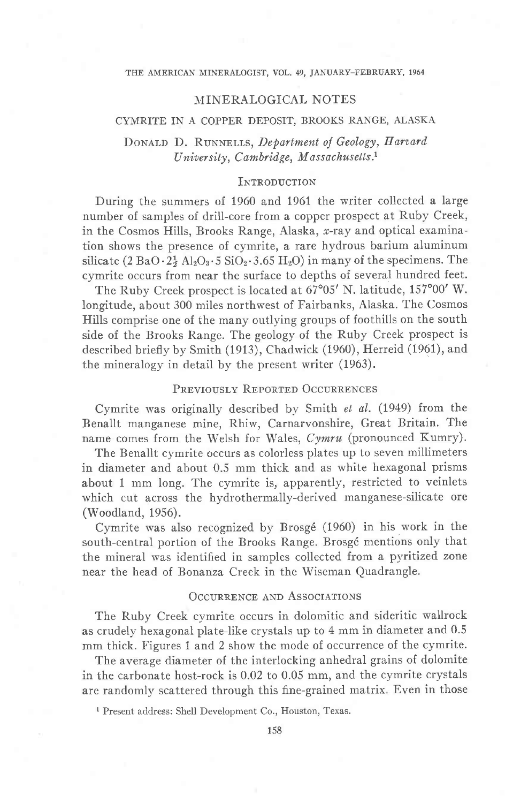#### THE AMERICAN MINERALOGIST, VOL. 49, JANUARY-FEBRUARY, 1964

### MINERALOGICAL NOTES

## CYMRITE IN A COPPER DEPOSIT, BROOKS RANGE, ALASKA

# DONALD D. RUNNELLS, Department of Geology, Harvard University, Cambridge, Massachusetts.<sup>1</sup>

## **INTRODUCTION**

During the summers of 1960 and 1961 the writer collected a large number of samples of drill-core from a copper prospect at Ruby Creek, in the Cosmos Hills, Brooks Range, Alaska, x-ray and optical examination shows the presence of cymrite, a rare hydrous barium aluminum silicate  $(2 BaO \cdot 2\frac{1}{2} Al_2O_3 \cdot 5 SiO_2 \cdot 3.65 H_2O)$  in many of the specimens. The cymrite occurs from near the surface to depths of several hundred feet.

The Ruby Creek prospect is located at  $67^{\circ}05'$  N. latitude,  $157^{\circ}00'$  W. longitude, about 300 miles northwest of Fairbanks, Alaska. The Cosmos Hills comprise one of the many outlying groups of foothills on the south side of the Brooks Range. The geology of the Ruby Creek prospect is described briefly by Smith (1913), Chadwick (1960), Herreid (1961), and the mineralogy in detail by the present writer (1963).

### PREVIOUSLY REPORTED OCCURRENCES

Cymrite was originally described by Smith et al. (1949) from the Benallt manganese mine, Rhiw, Carnarvonshire, Great Britain. The name comes from the Welsh for Wales, Cymru (pronounced Kumry).

The Benallt cymrite occurs as colorless plates up to seven millimeters in diameter and about 0.5 mm thick and as white hexagonal prisms about 1 mm long. The cymrite is, apparently, restricted to veinlets which cut across the hydrothermally-derived manganese-silicate ore (Woodland, 1956).

Cymrite was also recognized by Brosgé (1960) in his work in the south-central portion of the Brooks Range. Brosgé mentions only that the mineral was identified in samples collected from a pyritized zone near the head of Bonanza Creek in the Wiseman Quadrangle.

### **OCCURRENCE AND ASSOCIATIONS**

The Ruby Creek cymrite occurs in dolomitic and sideritic wallrock as crudely hexagonal plate-like crystals up to 4 mm in diameter and 0.5 mm thick. Figures 1 and 2 show the mode of occurrence of the cymrite.

The average diameter of the interlocking anhedral grains of dolomite in the carbonate host-rock is 0.02 to 0.05 mm, and the cymrite crystals are randomly scattered through this fine-grained matrix. Even in those

<sup>1</sup> Present address: Shell Development Co., Houston, Texas.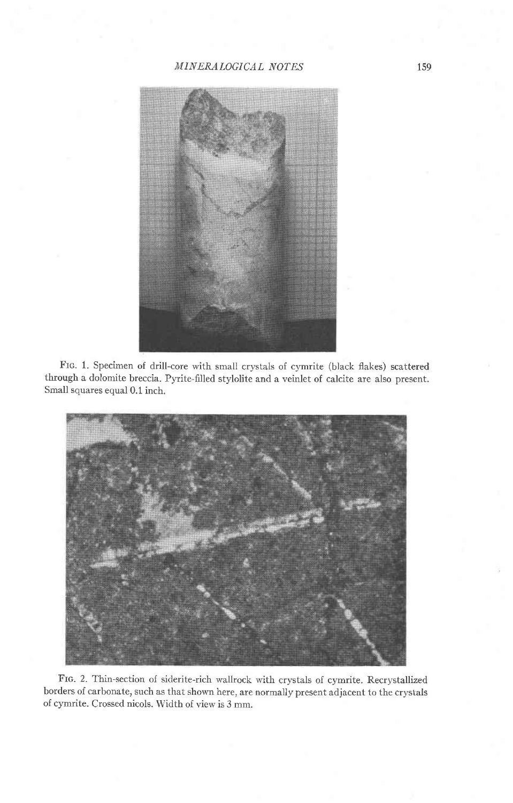

Frc. 1. Specimen of drill-core with small crystals of cymrite (black flakes) scattered through a dolomite breccia. Pyrite-filled stylolite and a veinlet of calcite are also present. Small squares equal 0.1 inch.



FIG. 2. Thin-section of siderite-rich wallrock with crystals of cymrite. Recrystallized borders of carbonate, such as that shown here, are normally present adjacent to the crystalsof cymrite. Crossed nicols. Width of view is 3 mm.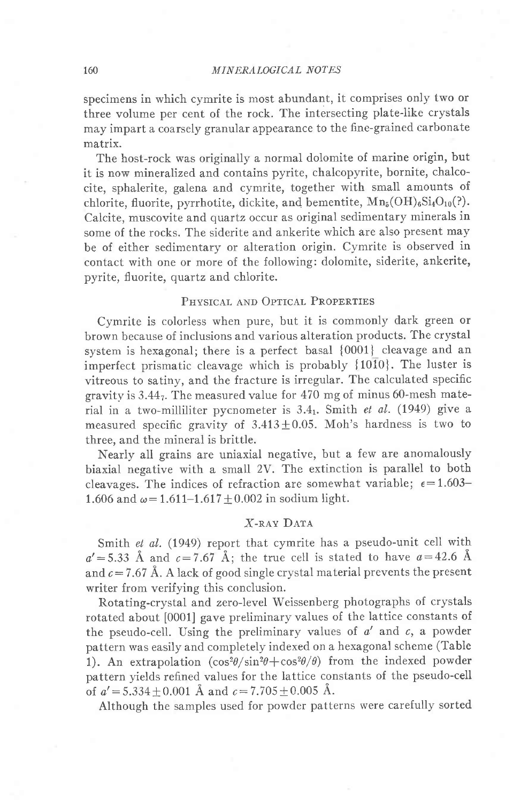specimens in which cymrite is most abundant, it comprises only two or three volume per cent of the rock. The intersecting plate-like crystals may impart a coarsely granular appearance to the fine-grained carbonate matrix.

The host-rock was originally a normal dolomite of marine origin, but it is now mineralized and contains pyrite, chalcopyrite, bornite, chalcocite, sphalerite, galena and cymrite, together with small amounts of chlorite, fluorite, pyrrhotite, dickite, and bementite,  $Mn_5(OH)_6Si_4O_{10}(?)$ . Calcite, muscovite and quartz occur as original sedimentary minerals in some of the rocks. The siderite and ankerite which are also present may be of either sedimentary or alteration origin. Cymrite is observed in contact with one or more of the following: dolomite, siderite, ankerite, pyrite, fluorite, quartz and chlorite.

### PHYSICAL AND OPTICAL PROPERTIES

Cymrite is colorless when pure, but it is commonly dark green or brown because of inclusions and various alteration products. The crystal system is hexagonal; there is a perfect basal {0001} cleavage and an imperfect prismatic cleavage which is probably  $\{10\overline{1}0\}$ . The luster is vitreous to satiny, and the fracture is irregular. The calculated specific gravity is  $3.44<sub>7</sub>$ . The measured value for  $470$  mg of minus 60-mesh material in a two-milliliter pycnometer is  $3.4<sub>1</sub>$ . Smith et al. (1949) give a measured specific gravity of  $3.413 \pm 0.05$ . Moh's hardness is two to three, and the mineral is brittle.

Nearly all grains are uniaxial negative, but a few are anomalously biaxial negative with a small 2V. The extinction is parallel to both cleavages. The indices of refraction are somewhat variable;  $\epsilon = 1.603-$ 1.606 and  $\omega = 1.611 - 1.617 + 0.002$  in sodium light.

## $X$ -ray Data

Smith et al. (1949) report that cymrite has a pseudo-unit cell with  $a'$ =5.33 Å and  $c=7.67$  Å; the true cell is stated to have  $a=42.6$  Å and  $c = 7.67$  Å. A lack of good single crystal material prevents the present writer from verifying this conclusion.

Rotating-crystal and zero-Ievel Weissenberg photographs of crystals rotated about [0001] gave preliminary values of the lattice constants of the pseudo-cell. Using the preliminary values of  $a'$  and  $c$ , a powder pattern was easily and completely indexed on a hexagonal scheme (Table 1). An extrapolation  $(cos^2\theta / sin^2\theta + cos^2\theta / \theta)$  from the indexed powder pattern yields refined^ values for the lattice constants of the pseudo-cell of  $a' = 5.334 + 0.001$  Å and  $c = 7.705 \pm 0.005$  Å.

Although the samples used for powder patterns were carefully sorted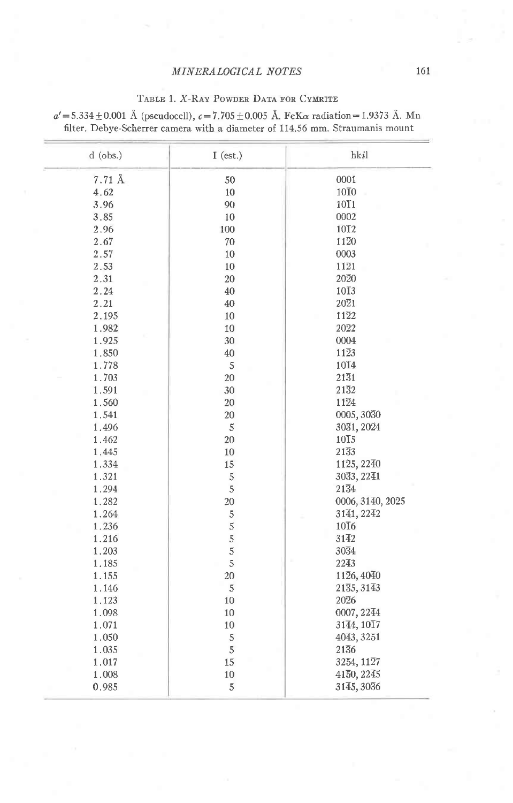### TABLE 1. X-RAY POWDER DATA FOR CYMRITE

| $d$ (obs.) | $I$ (est.)     | hkil              |  |
|------------|----------------|-------------------|--|
| 7.71 Å     | 50             | 0001              |  |
| 4.62       | 10             | 10 <sub>I</sub> 0 |  |
| 3.96       | 90             | 10T1              |  |
| 3.85       | 10             | 0002              |  |
| 2.96       | 100            | 10T <sub>2</sub>  |  |
| 2.67       | 70             | 1120              |  |
| 2.57       | 10             | 0003              |  |
| 2.53       | 10             | $11\overline{2}1$ |  |
| 2.31       | 20             | 2020              |  |
| 2.24       | 40             | $10\overline{1}3$ |  |
| 2.21       | 40             | 2021              |  |
| 2.195      | 10             | 1122              |  |
| 1.982      | 10             | 2022              |  |
| 1.925      | 30             | 0004              |  |
| 1.850      | $40\,$         | 1123              |  |
| 1.778      | $\sqrt{5}$     | 10T4              |  |
| 1.703      | 20             | 2131              |  |
| 1.591      | 30             | 2132              |  |
| 1.560      | 20             | 1124              |  |
| 1.541      | 20             | 0005, 3030        |  |
| 1.496      | 5              | 3031, 2024        |  |
| 1.462      | 20             | $10\overline{1}5$ |  |
| 1.445      | 10             | 2133              |  |
| 1.334      | 15             | 1125, 2240        |  |
| 1.321      | $\sqrt{5}$     | 3033, 2241        |  |
| 1.294      | $\sqrt{5}$     | 2134              |  |
| 1.282      | $20\,$         | 0006, 3140, 2025  |  |
| 1.264      | $\sqrt{5}$     | 3141, 2242        |  |
| 1.236      | $\overline{5}$ | $10\overline{1}6$ |  |
| 1.216      | 5              | 3142              |  |
| 1.203      | 5              | 3034              |  |
| 1.185      | 5              | 2243              |  |
| 1.155      | 20             | 1126, 4040        |  |
| 1.146      | 5              | 2135, 3143        |  |
| 1.123      | 10             | 2026              |  |
| 1.098      | 10             | 0007, 2244        |  |
| 1.071      | 10             | 3144, 1017        |  |
| 1.050      | $\sqrt{5}$     | 4043, 3251        |  |
| 1.035      | $\sqrt{5}$     | 2136              |  |
| 1.017      | 15             | 3254, 1127        |  |
| 1.008      | $10\,$         | 4150, 2245        |  |
| 0.985      | 5              | 3145, 3036        |  |

 $a' = 5.334 \pm 0.001$  Å (pseudocell),  $c = 7.705 \pm 0.005$  Å. FeK $\alpha$  radiation = 1.9373 Å. Mn filter. Debye-Scherrer camera with a diameter of 114.56 mm. Straumanis mount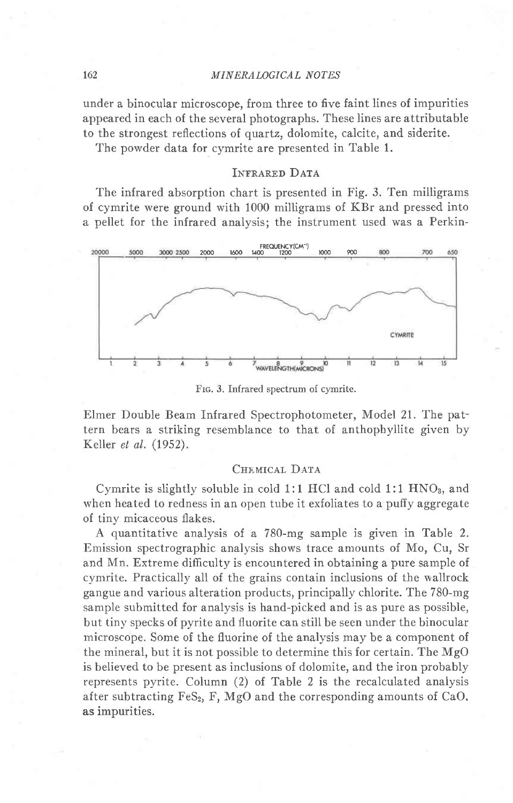under a binocular microscope, from three to five faint lines of impurities appeared in each of the several photographs. These lines are attributable to the strongest reflections of quartz, dolomite, calcite, and siderite.

The powder data for cymrite are presented in Table 1.

## INFRARED DATA

The infrared absorption chart is presented in Fig. 3. Ten milligrams of cymrite were ground with 1000 milligrams of KBr and pressed into a pellet for the infrared analvsis: the instrument used was a Perkin-



Frc. 3. Infrared spectrum of cymrite.

Elmer Double Beam Infrared Spectrophotometer, Model 21. The pattern bears a striking resemblance to that of anthophyllite given by Keller et al. (1952).

## CHEMICAL DATA

Cymrite is slightly soluble in cold 1:1 HCl and cold 1:1  $HNO<sub>3</sub>$ , and when heated to redness in an open tube it exfoliates to a puffy aggregate of tiny micaceous flakes.

A quantitative analysis of a 780-mg sample is given in Table 2. Emission spectrographic analysis shows trace amounts of Mo, Cu, Sr and Mn. Extreme difficulty is encountered in obtaining a pure sample of cymrite. Practically all of the grains contain inclusions of the wallrock gangue and various alteration products, principally chlorite. The 780-mg sample submitted for analysis is hand-picked and is as pure as possible, but tiny specks of pyrite and fluorite can still be seen under the binocular microscope. Some of the fluorine of the analysis may be a component of the mineral, but it is not possible to determine this for certain. The MgO is believed to be present as inclusions of dolomite, and the iron probably represents pyrite. Column (2) of Table 2 is the recalculated analysis after subtracting FeS<sub>2</sub>, F, MgO and the corresponding amounts of CaO. as impurities.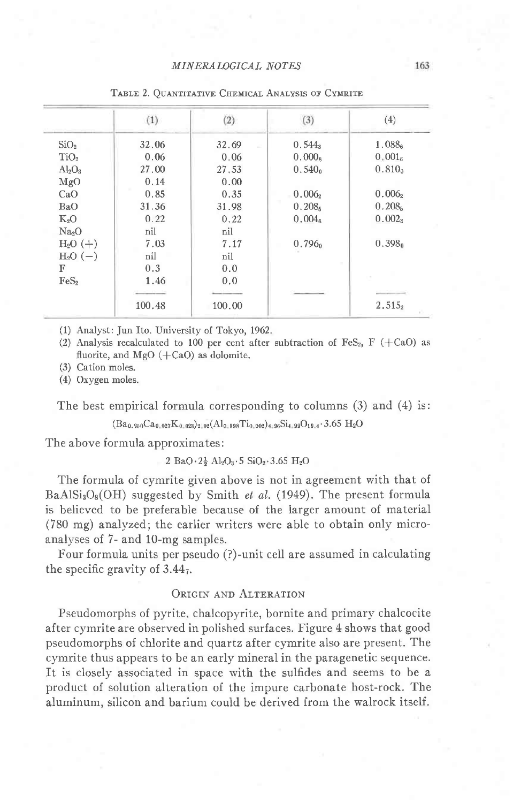|                   | (1)      | (2)    | (3)                | (4)                |
|-------------------|----------|--------|--------------------|--------------------|
| SiO <sub>2</sub>  | 32.06    | 32.69  | $0.544_3$          | 1.0886             |
| TiO <sub>2</sub>  | 0.06     | 0.06   | $0.000_8$          | 0.001 <sub>6</sub> |
| $Al_2O_3$         | 27.00    | 27.53  | 0.540 <sub>o</sub> | $0.810_0$          |
| MgO               | 0.14     | 0.00   |                    |                    |
| CaO               | 0.85     | 0.35   | 0.006              | $0.006_2$          |
| BaO               | 31.36    | 31.98  | 0.208 <sub>5</sub> | 0.208 <sub>5</sub> |
| $K_2O$            | 0.22     | 0.22   | 0.004 <sub>6</sub> | 0.002 <sub>3</sub> |
| Na <sub>2</sub> O | nil      | nil    |                    |                    |
| $H_2O (+)$        | 7.03     | 7.17   | 0.796 <sub>0</sub> | 0.398 <sub>0</sub> |
| $H2O (-)$         | nil      | nil    |                    |                    |
| F                 | 0.3      | 0.0    |                    |                    |
| FeS <sub>2</sub>  | 1.46     | 0,0    |                    |                    |
|                   | 1.000.00 | $-22$  |                    |                    |
|                   | 100.48   | 100.00 |                    | $2.515_2$          |

TABLE 2. OUANTITATIVE CHEMICAL ANALYSIS OF CYMRITE

(1) Analyst: Jun Ito. University of Tokyo, 1962.

(2) Analysis recalculated to 100 per cent after subtraction of FeS<sub>2</sub>, F (+CaO) as fluorite, and MgO  $(+CaO)$  as dolomite.

(3) Cation moles.

(4) Oxygen moles.

The best empirical formula corresponding to columns  $(3)$  and  $(4)$  is:

 $(Ba_{0.950}Ca_{0.027}K_{0.023})_{2.02}(Al_{0.998}Ti_{0.002})_{4.96}Si_{4.99}O_{19.4}\cdot 3.65 H_2O$ 

The above formula approximates:

#### 2 BaO·2<sup>1</sup>/<sub>2</sub> Al<sub>2</sub>O<sub>3</sub>·5 SiO<sub>2</sub>·3.65 H<sub>2</sub>O

The formula of cymrite given above is not in agreement with that of  $BaAlSi<sub>3</sub>O<sub>8</sub>(OH)$  suggested by Smith *et al.* (1949). The present formula is believed to be preferable because of the larger amount of material (780 mg) analyzed; the earlier writers were able to obtain only microanalyses of 7- and 10-mg samples.

Four formula units per pseudo (?)-unit cell are assumed in calculating the specific gravity of  $3.44<sub>7</sub>$ .

## ORIGIN AND ALTERATION

Pseudomorphs of pyrite, chalcopyrite, bornite and primary chalcocite after cymrite are observed in polished surfaces. Figure 4 shows that good pseudomorphs of chlorite and quartz after cymrite also are present. The cymrite thus appears to be an early mineral in the paragenetic sequence. It is closely associated in space with the sulfides and seems to be a product of solution alteration of the impure carbonate host-rock. The aluminum, silicon and barium could be derived from the walrock itself.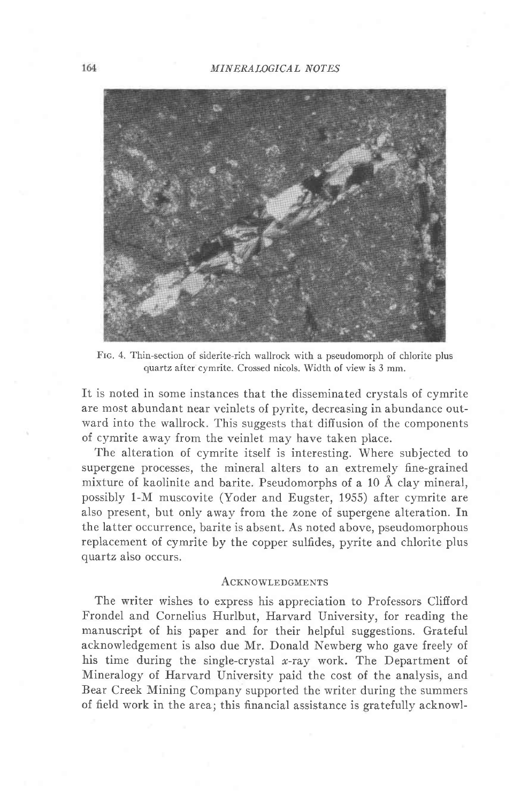

Frc. 4. Thin-section of siderite-rich wallrock with a pseudomorph of chlorite plus quartz after cymrite. Crossed nicols. Width of view is 3 mm.

It is noted in some instances that the disseminated crystals of cymrite are most abundant near veinlets of pyrite, decreasing in abundance outward into the wallrock. This suggests that diffusion of the components of cymrite away from the veinlet may have taken place.

The alteration of cymrite itself is interesting. Where subjected to supergene processes, the mineral alters to an extremely fine-grained mixture of kaolinite and barite. Pseudomorphs of a 10 Å clay mineral, possibly 1-M muscovite (Yoder and Eugster, 1955) after cymrite are also present, but only awav from the zone of supergene alteration. In the latter occurrence, barite is absent. As noted above, pseudomorphous replacement of cymrite by the copper sulfides, pyrite and chlorite plus quartz also occurs.

#### ACKNOWLEDGMENTS

The writer wishes to express his appreciation to Professors Clifford Frondel and Cornelius Hurlbut, Harvard University, for reading the manuscript of his paper and for their helpful suggestions. Grateful acknowledgement is also due Mr. Donald Newberg who gave freely of his time during the single-crystal x-ray work. The Department of Mineralogy of Harvard University paid the cost of the analysis, and Bear Creek Mining Company supported the writer during the summers of field work in the area; this financial assistance is gratefully acknowl